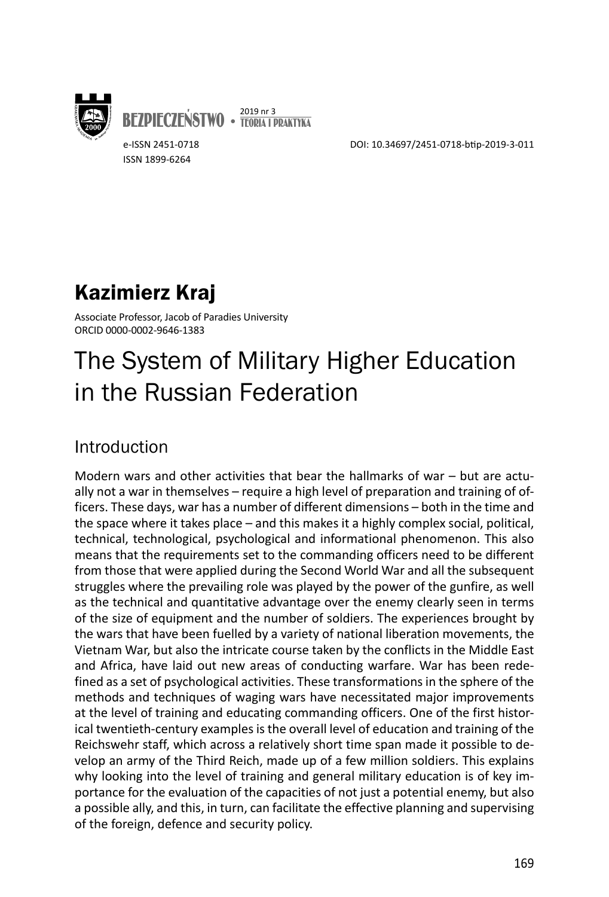

**BEZPIECZEŃSTWO • <sup>2019 nr 3</sup><br>Teoria i praktyka** 

e-ISSN 2451-0718 ISSN 1899-6264

DOI: 10.34697/2451-0718-btip-2019-3-011

## Kazimierz Kraj

Associate Professor, Jacob of Paradies University ORCID 0000-0002-9646-1383

# The System of Military Higher Education in the Russian Federation

## Introduction

Modern wars and other activities that bear the hallmarks of war – but are actually not a war in themselves – require a high level of preparation and training of officers. These days, war has a number of different dimensions – both in the time and the space where it takes place – and this makes it a highly complex social, political, technical, technological, psychological and informational phenomenon. This also means that the requirements set to the commanding officers need to be different from those that were applied during the Second World War and all the subsequent struggles where the prevailing role was played by the power of the gunfire, as well as the technical and quantitative advantage over the enemy clearly seen in terms of the size of equipment and the number of soldiers. The experiences brought by the wars that have been fuelled by a variety of national liberation movements, the Vietnam War, but also the intricate course taken by the conflicts in the Middle East and Africa, have laid out new areas of conducting warfare. War has been redefined as a set of psychological activities. These transformations in the sphere of the methods and techniques of waging wars have necessitated major improvements at the level of training and educating commanding officers. One of the first historical twentieth-century examples is the overall level of education and training of the Reichswehr staff, which across a relatively short time span made it possible to develop an army of the Third Reich, made up of a few million soldiers. This explains why looking into the level of training and general military education is of key importance for the evaluation of the capacities of not just a potential enemy, but also a possible ally, and this, in turn, can facilitate the effective planning and supervising of the foreign, defence and security policy.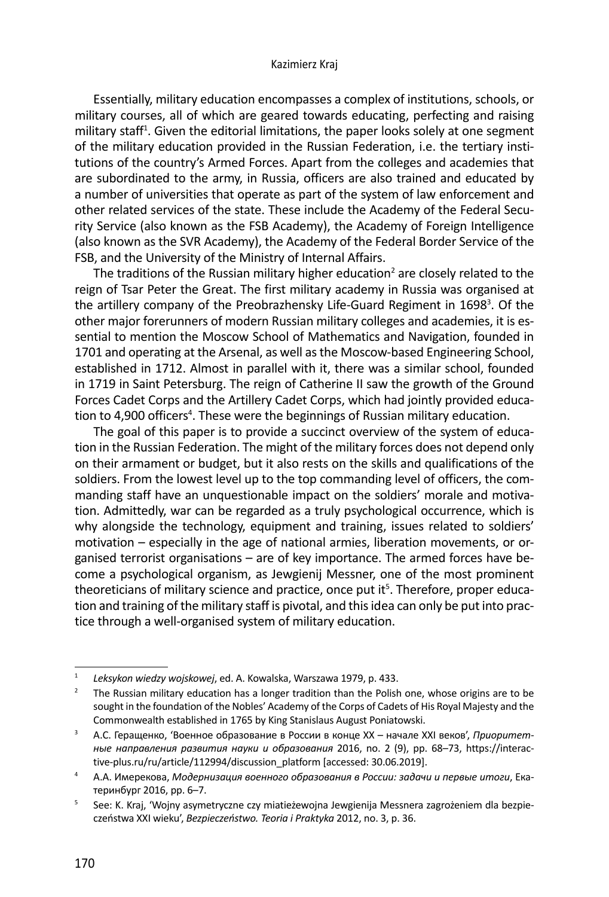#### Kazimierz Kraj

Essentially, military education encompasses a complex of institutions, schools, or military courses, all of which are geared towards educating, perfecting and raising military staff<sup>1</sup>. Given the editorial limitations, the paper looks solely at one segment of the military education provided in the Russian Federation, i.e. the tertiary institutions of the country's Armed Forces. Apart from the colleges and academies that are subordinated to the army, in Russia, officers are also trained and educated by a number of universities that operate as part of the system of law enforcement and other related services of the state. These include the Academy of the Federal Security Service (also known as the FSB Academy), the Academy of Foreign Intelligence (also known as the SVR Academy), the Academy of the Federal Border Service of the FSB, and the University of the Ministry of Internal Affairs.

The traditions of the Russian military higher education<sup>2</sup> are closely related to the reign of Tsar Peter the Great. The first military academy in Russia was organised at the artillery company of the Preobrazhensky Life-Guard Regiment in 1698<sup>3</sup>. Of the other major forerunners of modern Russian military colleges and academies, it is essential to mention the Moscow School of Mathematics and Navigation, founded in 1701 and operating at the Arsenal, as well as the Moscow-based Engineering School, established in 1712. Almost in parallel with it, there was a similar school, founded in 1719 in Saint Petersburg. The reign of Catherine II saw the growth of the Ground Forces Cadet Corps and the Artillery Cadet Corps, which had jointly provided education to 4,900 officers<sup>4</sup>. These were the beginnings of Russian military education.

The goal of this paper is to provide a succinct overview of the system of education in the Russian Federation. The might of the military forces does not depend only on their armament or budget, but it also rests on the skills and qualifications of the soldiers. From the lowest level up to the top commanding level of officers, the commanding staff have an unquestionable impact on the soldiers' morale and motivation. Admittedly, war can be regarded as a truly psychological occurrence, which is why alongside the technology, equipment and training, issues related to soldiers' motivation – especially in the age of national armies, liberation movements, or organised terrorist organisations – are of key importance. The armed forces have become a psychological organism, as Jewgienij Messner, one of the most prominent theoreticians of military science and practice, once put it<sup>5</sup>. Therefore, proper education and training of the military staff is pivotal, and this idea can only be put into practice through a well-organised system of military education.

<sup>1</sup>*Leksykon wiedzy wojskowej*, ed. A. Kowalska, Warszawa 1979, p. 433.

<sup>2</sup> The Russian military education has a longer tradition than the Polish one, whose origins are to be sought in the foundation of the Nobles' Academy of the Corps of Cadets of His Royal Majesty and the Commonwealth established in 1765 by King Stanislaus August Poniatowski.

<sup>3</sup> А.С. Геращенко, 'Военное образование в России в конце ХХ – начале ХХI веков', *Приоритетные направления развития науки и образования* 2016, no. 2 (9), pp. 68*–*73, https://interactive-plus.ru/ru/article/112994/discussion\_platform [accessed: 30.06.2019].

<sup>4</sup> А.А. Имерекова, *Модернизация военного образования в России: задачи и первые итоги*, Екатеринбург 2016, pp. 6–7.

<sup>5</sup> See: K. Kraj, 'Wojny asymetryczne czy miatieżewojna Jewgienija Messnera zagrożeniem dla bezpieczeństwa XXI wieku', *Bezpieczeństwo. Teoria i Praktyka* 2012, no. 3, p. 36.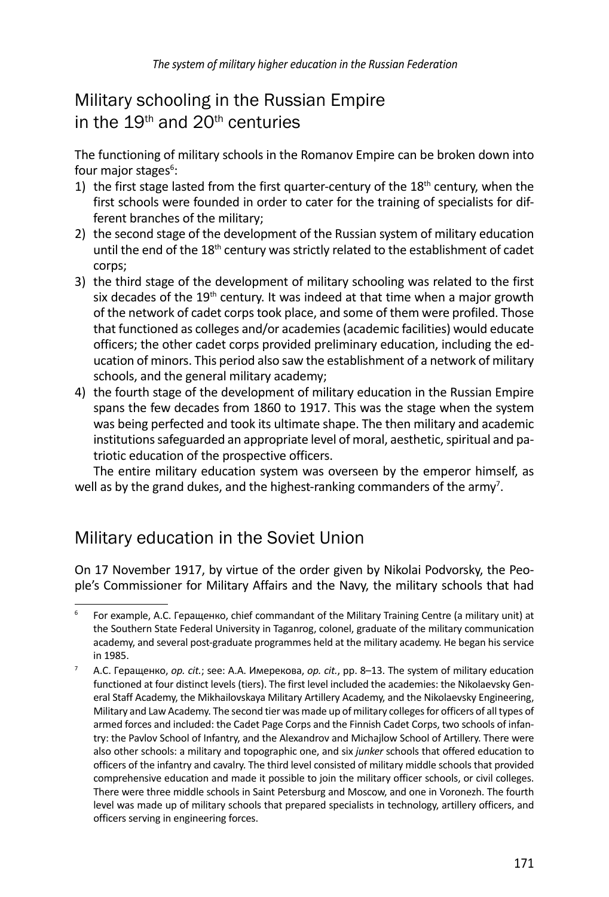## Military schooling in the Russian Empire in the 19<sup>th</sup> and 20<sup>th</sup> centuries

The functioning of military schools in the Romanov Empire can be broken down into four major stages<sup>6</sup>:

- 1) the first stage lasted from the first quarter-century of the  $18<sup>th</sup>$  century, when the first schools were founded in order to cater for the training of specialists for different branches of the military;
- 2) the second stage of the development of the Russian system of military education until the end of the 18<sup>th</sup> century was strictly related to the establishment of cadet corps;
- 3) the third stage of the development of military schooling was related to the first six decades of the  $19<sup>th</sup>$  century. It was indeed at that time when a major growth of the network of cadet corps took place, and some of them were profiled. Those that functioned as colleges and/or academies (academic facilities) would educate officers; the other cadet corps provided preliminary education, including the education of minors. This period also saw the establishment of a network of military schools, and the general military academy;
- 4) the fourth stage of the development of military education in the Russian Empire spans the few decades from 1860 to 1917. This was the stage when the system was being perfected and took its ultimate shape. The then military and academic institutions safeguarded an appropriate level of moral, aesthetic, spiritual and patriotic education of the prospective officers.

The entire military education system was overseen by the emperor himself, as well as by the grand dukes, and the highest-ranking commanders of the army<sup>7</sup>.

## Military education in the Soviet Union

On 17 November 1917, by virtue of the order given by Nikolai Podvorsky, the People's Commissioner for Military Affairs and the Navy, the military schools that had

<sup>6</sup> For example, А.С. Геращенко, chief commandant of the Military Training Centre (a military unit) at the Southern State Federal University in Taganrog, colonel, graduate of the military communication academy, and several post-graduate programmes held at the military academy. He began his service in 1985.

<sup>7</sup> А.С. Геращенко, *op. cit.*; see: А.А. Имерекова, *op. cit.*, pp. 8–13. The system of military education functioned at four distinct levels (tiers). The first level included the academies: the Nikolaevsky General Staff Academy, the Mikhailovskaya Military Artillery Academy, and the Nikolaevsky Engineering, Military and Law Academy. The second tier was made up of military colleges for officers of all types of armed forces and included: the Cadet Page Corps and the Finnish Cadet Corps, two schools of infantry: the Pavlov School of Infantry, and the Alexandrov and Michajlow School of Artillery. There were also other schools: a military and topographic one, and six *junker* schools that offered education to officers of the infantry and cavalry. The third level consisted of military middle schools that provided comprehensive education and made it possible to join the military officer schools, or civil colleges. There were three middle schools in Saint Petersburg and Moscow, and one in Voronezh. The fourth level was made up of military schools that prepared specialists in technology, artillery officers, and officers serving in engineering forces.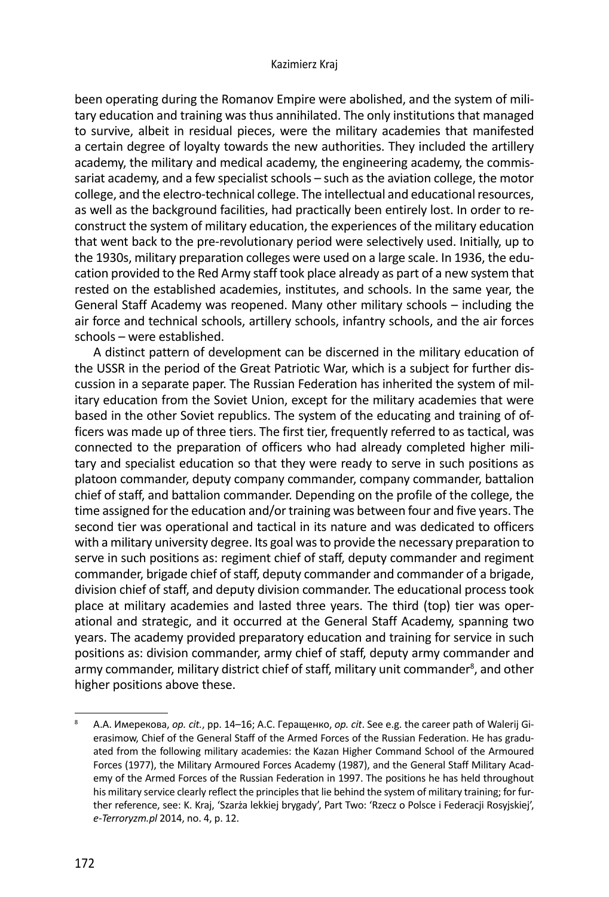been operating during the Romanov Empire were abolished, and the system of military education and training was thus annihilated. The only institutions that managed to survive, albeit in residual pieces, were the military academies that manifested a certain degree of loyalty towards the new authorities. They included the artillery academy, the military and medical academy, the engineering academy, the commissariat academy, and a few specialist schools – such as the aviation college, the motor college, and the electro-technical college. The intellectual and educational resources, as well as the background facilities, had practically been entirely lost. In order to reconstruct the system of military education, the experiences of the military education that went back to the pre-revolutionary period were selectively used. Initially, up to the 1930s, military preparation colleges were used on a large scale. In 1936, the education provided to the Red Army staff took place already as part of a new system that rested on the established academies, institutes, and schools. In the same year, the General Staff Academy was reopened. Many other military schools – including the air force and technical schools, artillery schools, infantry schools, and the air forces schools – were established.

A distinct pattern of development can be discerned in the military education of the USSR in the period of the Great Patriotic War, which is a subject for further discussion in a separate paper. The Russian Federation has inherited the system of military education from the Soviet Union, except for the military academies that were based in the other Soviet republics. The system of the educating and training of officers was made up of three tiers. The first tier, frequently referred to as tactical, was connected to the preparation of officers who had already completed higher military and specialist education so that they were ready to serve in such positions as platoon commander, deputy company commander, company commander, battalion chief of staff, and battalion commander. Depending on the profile of the college, the time assigned for the education and/or training was between four and five years. The second tier was operational and tactical in its nature and was dedicated to officers with a military university degree. Its goal was to provide the necessary preparation to serve in such positions as: regiment chief of staff, deputy commander and regiment commander, brigade chief of staff, deputy commander and commander of a brigade, division chief of staff, and deputy division commander. The educational process took place at military academies and lasted three years. The third (top) tier was operational and strategic, and it occurred at the General Staff Academy, spanning two years. The academy provided preparatory education and training for service in such positions as: division commander, army chief of staff, deputy army commander and army commander, military district chief of staff, military unit commander<sup>8</sup>, and other higher positions above these.

<sup>8</sup> А.А. Имерекова, *op. cit.*, pp. 14–16; А.С. Геращенко, *op. cit*. See e.g. the career path of Walerij Gierasimow, Chief of the General Staff of the Armed Forces of the Russian Federation. He has graduated from the following military academies: the Kazan Higher Command School of the Armoured Forces (1977), the Military Armoured Forces Academy (1987), and the General Staff Military Academy of the Armed Forces of the Russian Federation in 1997. The positions he has held throughout his military service clearly reflect the principles that lie behind the system of military training; for further reference, see: K. Kraj, 'Szarża lekkiej brygady', Part Two: 'Rzecz o Polsce i Federacji Rosyjskiej', *e-Terroryzm.pl* 2014, no. 4, p. 12.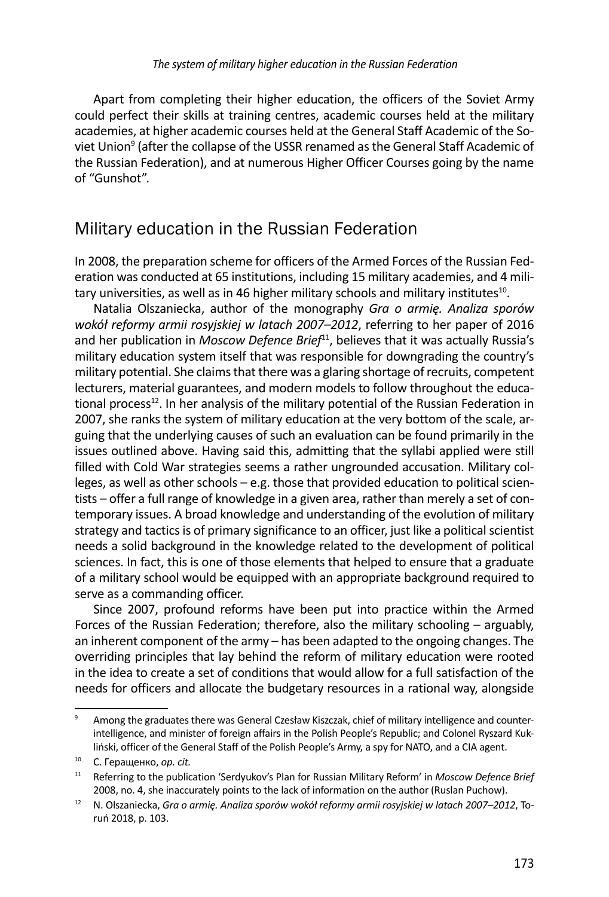Apart from completing their higher education, the officers of the Soviet Army could perfect their skills at training centres, academic courses held at the military academies, at higher academic courses held at the General Staff Academic of the Soviet Union<sup>9</sup> (after the collapse of the USSR renamed as the General Staff Academic of the Russian Federation), and at numerous Higher Officer Courses going by the name of "Gunshot".

## Military education in the Russian Federation

In 2008, the preparation scheme for officers of the Armed Forces of the Russian Federation was conducted at 65 institutions, including 15 military academies, and 4 military universities, as well as in 46 higher military schools and military institutes<sup>10</sup>.

Natalia Olszaniecka, author of the monography *Gra o armię. Analiza sporów wokół reformy armii rosyjskiej w latach 2007–2012*, referring to her paper of 2016 and her publication in *Moscow Defence Brief<sup>11</sup>*, believes that it was actually Russia's military education system itself that was responsible for downgrading the country's military potential. She claims that there was a glaring shortage of recruits, competent lecturers, material guarantees, and modern models to follow throughout the educational process<sup>12</sup>. In her analysis of the military potential of the Russian Federation in 2007, she ranks the system of military education at the very bottom of the scale, arguing that the underlying causes of such an evaluation can be found primarily in the issues outlined above. Having said this, admitting that the syllabi applied were still filled with Cold War strategies seems a rather ungrounded accusation. Military colleges, as well as other schools – e.g. those that provided education to political scientists – offer a full range of knowledge in a given area, rather than merely a set of contemporary issues. A broad knowledge and understanding of the evolution of military strategy and tactics is of primary significance to an officer, just like a political scientist needs a solid background in the knowledge related to the development of political sciences. In fact, this is one of those elements that helped to ensure that a graduate of a military school would be equipped with an appropriate background required to serve as a commanding officer.

Since 2007, profound reforms have been put into practice within the Armed Forces of the Russian Federation; therefore, also the military schooling – arguably, an inherent component of the army – has been adapted to the ongoing changes. The overriding principles that lay behind the reform of military education were rooted in the idea to create a set of conditions that would allow for a full satisfaction of the needs for officers and allocate the budgetary resources in a rational way, alongside

<sup>9</sup> Among the graduates there was General Czesław Kiszczak, chief of military intelligence and counterintelligence, and minister of foreign affairs in the Polish People's Republic; and Colonel Ryszard Kukliński, officer of the General Staff of the Polish People's Army, a spy for NATO, and a CIA agent.

<sup>10</sup> С. Геращенко, *op. cit.*

<sup>11</sup> Referring to the publication 'Serdyukov's Plan for Russian Military Reform' in *Moscow Defence Brief* 2008, no. 4, she inaccurately points to the lack of information on the author (Ruslan Puchow).

<sup>12</sup> N. Olszaniecka, *Gra o armię. Analiza sporów wokół reformy armii rosyjskiej w latach 2007–2012*, Toruń 2018, p. 103.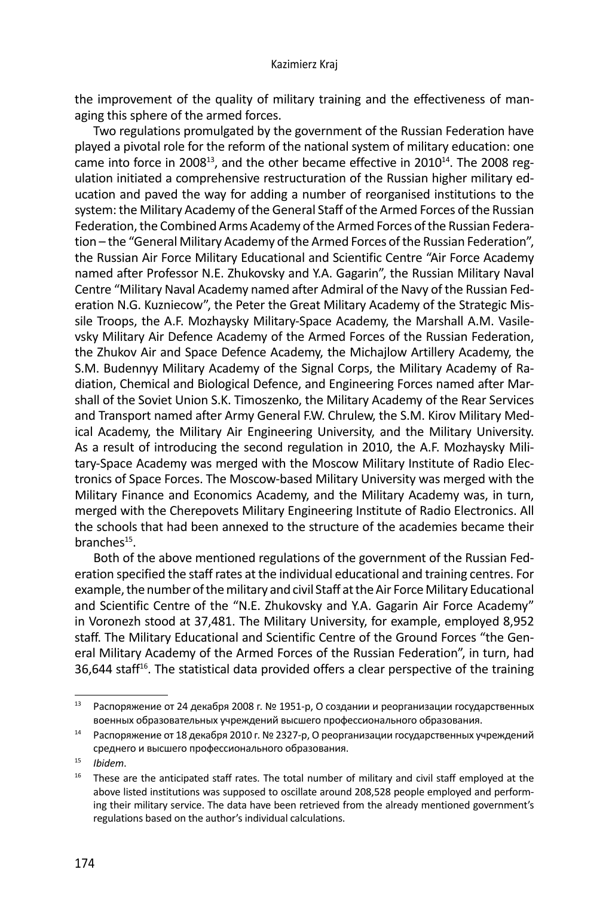the improvement of the quality of military training and the effectiveness of managing this sphere of the armed forces.

Two regulations promulgated by the government of the Russian Federation have played a pivotal role for the reform of the national system of military education: one came into force in 2008 $^{13}$ , and the other became effective in 2010 $^{14}$ . The 2008 regulation initiated a comprehensive restructuration of the Russian higher military education and paved the way for adding a number of reorganised institutions to the system: the Military Academy of the General Staff of the Armed Forces of the Russian Federation, the Combined Arms Academy of the Armed Forces of the Russian Federation – the "General Military Academy of the Armed Forces of the Russian Federation", the Russian Air Force Military Educational and Scientific Centre "Air Force Academy named after Professor N.E. Zhukovsky and Y.A. Gagarin", the Russian Military Naval Centre "Military Naval Academy named after Admiral of the Navy of the Russian Federation N.G. Kuzniecow", the Peter the Great Military Academy of the Strategic Missile Troops, the A.F. Mozhaysky Military-Space Academy, the Marshall A.M. Vasilevsky Military Air Defence Academy of the Armed Forces of the Russian Federation, the Zhukov Air and Space Defence Academy, the Michajlow Artillery Academy, the S.M. Budennyy Military Academy of the Signal Corps, the Military Academy of Radiation, Chemical and Biological Defence, and Engineering Forces named after Marshall of the Soviet Union S.K. Timoszenko, the Military Academy of the Rear Services and Transport named after Army General F.W. Chrulew, the S.M. Kirov Military Medical Academy, the Military Air Engineering University, and the Military University. As a result of introducing the second regulation in 2010, the A.F. Mozhaysky Military-Space Academy was merged with the Moscow Military Institute of Radio Electronics of Space Forces. The Moscow-based Military University was merged with the Military Finance and Economics Academy, and the Military Academy was, in turn, merged with the Cherepovets Military Engineering Institute of Radio Electronics. All the schools that had been annexed to the structure of the academies became their branches<sup>15</sup>.

Both of the above mentioned regulations of the government of the Russian Federation specified the staff rates at the individual educational and training centres. For example, the number of the military and civil Staff at the Air Force Military Educational and Scientific Centre of the "N.E. Zhukovsky and Y.A. Gagarin Air Force Academy" in Voronezh stood at 37,481. The Military University, for example, employed 8,952 staff. The Military Educational and Scientific Centre of the Ground Forces "the General Military Academy of the Armed Forces of the Russian Federation", in turn, had 36,644 staff<sup>16</sup>. The statistical data provided offers a clear perspective of the training

<sup>13</sup> Распоряжение от 24 декабря 2008 г. № 1951-р, О создании и реорганизации государственных военных образовательных учреждений высшего профессионального образования.<br><sup>14</sup> Распоряжение от 18 декабря 2010 г. № 2327-р, О реорганизации государственных учреждений

среднего и высшего профессионального образования.

<sup>15</sup>*Ibidem*.

 $16$  These are the anticipated staff rates. The total number of military and civil staff employed at the above listed institutions was supposed to oscillate around 208,528 people employed and performing their military service. The data have been retrieved from the already mentioned government's regulations based on the author's individual calculations.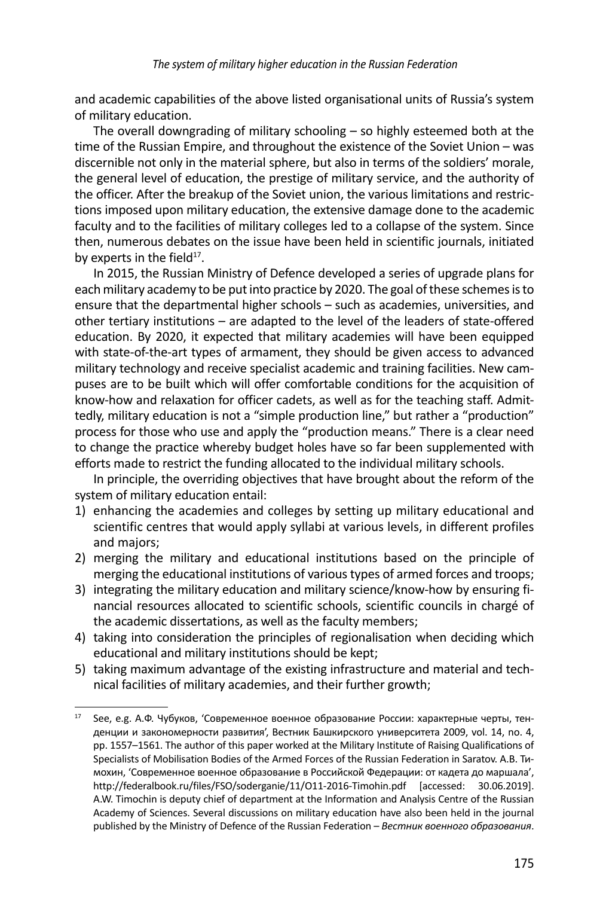and academic capabilities of the above listed organisational units of Russia's system of military education.

The overall downgrading of military schooling – so highly esteemed both at the time of the Russian Empire, and throughout the existence of the Soviet Union – was discernible not only in the material sphere, but also in terms of the soldiers' morale, the general level of education, the prestige of military service, and the authority of the officer. After the breakup of the Soviet union, the various limitations and restrictions imposed upon military education, the extensive damage done to the academic faculty and to the facilities of military colleges led to a collapse of the system. Since then, numerous debates on the issue have been held in scientific journals, initiated by experts in the field $17$ .

In 2015, the Russian Ministry of Defence developed a series of upgrade plans for each military academy to be put into practice by 2020. The goal of these schemes is to ensure that the departmental higher schools – such as academies, universities, and other tertiary institutions – are adapted to the level of the leaders of state-offered education. By 2020, it expected that military academies will have been equipped with state-of-the-art types of armament, they should be given access to advanced military technology and receive specialist academic and training facilities. New campuses are to be built which will offer comfortable conditions for the acquisition of know-how and relaxation for officer cadets, as well as for the teaching staff. Admittedly, military education is not a "simple production line," but rather a "production" process for those who use and apply the "production means." There is a clear need to change the practice whereby budget holes have so far been supplemented with efforts made to restrict the funding allocated to the individual military schools.

In principle, the overriding objectives that have brought about the reform of the system of military education entail:

- 1) enhancing the academies and colleges by setting up military educational and scientific centres that would apply syllabi at various levels, in different profiles and majors;
- 2) merging the military and educational institutions based on the principle of merging the educational institutions of various types of armed forces and troops;
- 3) integrating the military education and military science/know-how by ensuring financial resources allocated to scientific schools, scientific councils in chargé of the academic dissertations, as well as the faculty members;
- 4) taking into consideration the principles of regionalisation when deciding which educational and military institutions should be kept;
- 5) taking maximum advantage of the existing infrastructure and material and technical facilities of military academies, and their further growth;

<sup>17</sup> See, e.g. А.Ф. Чубуков, 'Современное военное образование России: характерные черты, тенденции и закономерности развития', Вестник Башкирского университета 2009, vol. 14, no. 4, pp. 1557–1561. The author of this paper worked at the Military Institute of Raising Qualifications of Specialists of Mobilisation Bodies of the Armed Forces of the Russian Federation in Saratov. А.В. Тимохин, 'Современное военное образование в Российской Федерации: от кадета до маршала', http://federalbook.ru/files/FSO/soderganie/11/O11-2016-Timohin.pdf [accessed: 30.06.2019]. A.W. Timochin is deputy chief of department at the Information and Analysis Centre of the Russian Academy of Sciences. Several discussions on military education have also been held in the journal published by the Ministry of Defence of the Russian Federation – *Вестник военного образования*.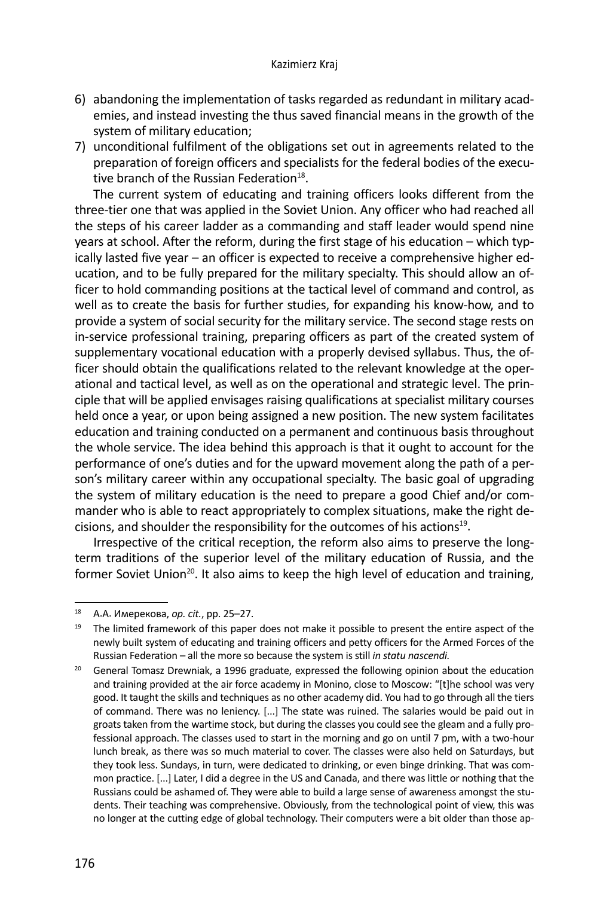- 6) abandoning the implementation of tasks regarded as redundant in military academies, and instead investing the thus saved financial means in the growth of the system of military education;
- 7) unconditional fulfilment of the obligations set out in agreements related to the preparation of foreign officers and specialists for the federal bodies of the executive branch of the Russian Federation $^{18}$ .

The current system of educating and training officers looks different from the three-tier one that was applied in the Soviet Union. Any officer who had reached all the steps of his career ladder as a commanding and staff leader would spend nine years at school. After the reform, during the first stage of his education – which typically lasted five year – an officer is expected to receive a comprehensive higher education, and to be fully prepared for the military specialty. This should allow an officer to hold commanding positions at the tactical level of command and control, as well as to create the basis for further studies, for expanding his know-how, and to provide a system of social security for the military service. The second stage rests on in-service professional training, preparing officers as part of the created system of supplementary vocational education with a properly devised syllabus. Thus, the officer should obtain the qualifications related to the relevant knowledge at the operational and tactical level, as well as on the operational and strategic level. The principle that will be applied envisages raising qualifications at specialist military courses held once a year, or upon being assigned a new position. The new system facilitates education and training conducted on a permanent and continuous basis throughout the whole service. The idea behind this approach is that it ought to account for the performance of one's duties and for the upward movement along the path of a person's military career within any occupational specialty. The basic goal of upgrading the system of military education is the need to prepare a good Chief and/or commander who is able to react appropriately to complex situations, make the right decisions, and shoulder the responsibility for the outcomes of his actions<sup>19</sup>.

Irrespective of the critical reception, the reform also aims to preserve the longterm traditions of the superior level of the military education of Russia, and the former Soviet Union<sup>20</sup>. It also aims to keep the high level of education and training,

<sup>18</sup> А.А. Имерекова, *op. cit.*, pp. 25–27.

 $19$  The limited framework of this paper does not make it possible to present the entire aspect of the newly built system of educating and training officers and petty officers for the Armed Forces of the Russian Federation – all the more so because the system is still *in statu nascendi.* 

<sup>&</sup>lt;sup>20</sup> General Tomasz Drewniak, a 1996 graduate, expressed the following opinion about the education and training provided at the air force academy in Monino, close to Moscow: "[t]he school was very good. It taught the skills and techniques as no other academy did. You had to go through all the tiers of command. There was no leniency. [...] The state was ruined. The salaries would be paid out in groats taken from the wartime stock, but during the classes you could see the gleam and a fully professional approach. The classes used to start in the morning and go on until 7 pm, with a two-hour lunch break, as there was so much material to cover. The classes were also held on Saturdays, but they took less. Sundays, in turn, were dedicated to drinking, or even binge drinking. That was common practice. [...] Later, I did a degree in the US and Canada, and there was little or nothing that the Russians could be ashamed of. They were able to build a large sense of awareness amongst the students. Their teaching was comprehensive. Obviously, from the technological point of view, this was no longer at the cutting edge of global technology. Their computers were a bit older than those ap-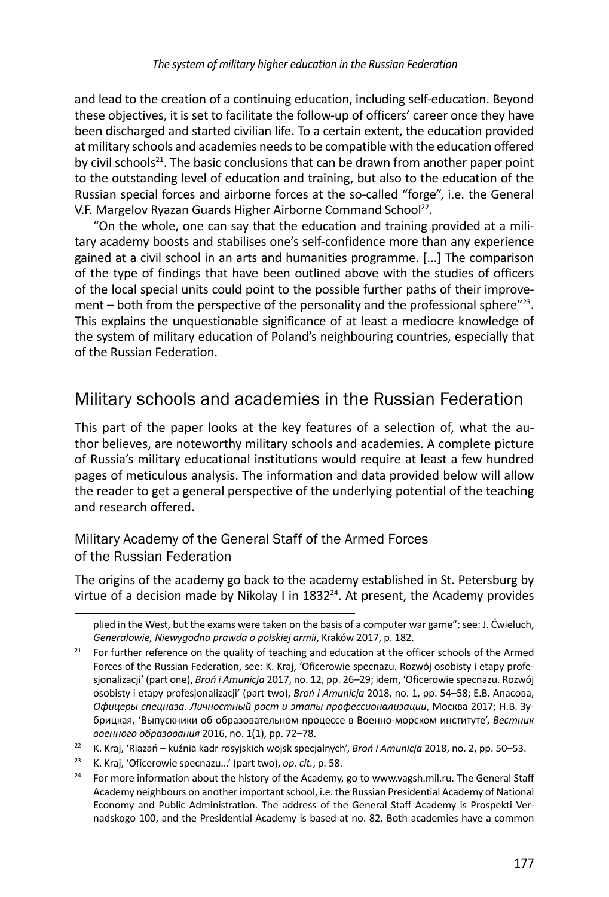and lead to the creation of a continuing education, including self-education. Beyond these objectives, it is set to facilitate the follow-up of officers' career once they have been discharged and started civilian life. To a certain extent, the education provided at military schools and academies needs to be compatible with the education offered by civil schools<sup>21</sup>. The basic conclusions that can be drawn from another paper point to the outstanding level of education and training, but also to the education of the Russian special forces and airborne forces at the so-called "forge", i.e. the General V.F. Margelov Ryazan Guards Higher Airborne Command School<sup>22</sup>.

"On the whole, one can say that the education and training provided at a military academy boosts and stabilises one's self-confidence more than any experience gained at a civil school in an arts and humanities programme. [...] The comparison of the type of findings that have been outlined above with the studies of officers of the local special units could point to the possible further paths of their improvement – both from the perspective of the personality and the professional sphere $"^{23}$ . This explains the unquestionable significance of at least a mediocre knowledge of the system of military education of Poland's neighbouring countries, especially that of the Russian Federation.

## Military schools and academies in the Russian Federation

This part of the paper looks at the key features of a selection of, what the author believes, are noteworthy military schools and academies. A complete picture of Russia's military educational institutions would require at least a few hundred pages of meticulous analysis. The information and data provided below will allow the reader to get a general perspective of the underlying potential of the teaching and research offered.

#### Military Academy of the General Staff of the Armed Forces of the Russian Federation

The origins of the academy go back to the academy established in St. Petersburg by virtue of a decision made by Nikolay I in  $1832^{24}$ . At present, the Academy provides

plied in the West, but the exams were taken on the basis of a computer war game"; see: J. Ćwieluch, *Generałowie, Niewygodna prawda o polskiej armii*, Kraków 2017, p. 182.

<sup>&</sup>lt;sup>21</sup> For further reference on the quality of teaching and education at the officer schools of the Armed Forces of the Russian Federation, see: K. Kraj, 'Oficerowie specnazu. Rozwój osobisty i etapy profesjonalizacji' (part one), *Broń i Amunicja* 2017, no. 12, pp. 26–29; idem, 'Oficerowie specnazu. Rozwój osobisty i etapy profesjonalizacji' (part two), *Broń i Amunicja* 2018, no. 1, pp. 54–58; Е.В. Апасовa, *Офицеры спецназа. Личностный рост и этапы профессионализации*, Москва 2017; Н.В. Зубрицкая, 'Выпускники об образовательном процессе в Военно-морском институте', *Вестник военного образования* 2016, no. 1(1), pp. 72–78.

<sup>&</sup>lt;sup>22</sup> K. Kraj, 'Riazań – kuźnia kadr rosyjskich wojsk specjalnych', *Broń i Amunicja* 2018, no. 2, pp. 50–53.<br><sup>23</sup> K. Kraj, 'Oficerowie specnazu...' (part two), *op. cit.*, p. 58.

<sup>&</sup>lt;sup>24</sup> For more information about the history of the Academy, go to www.vagsh.mil.ru. The General Staff Academy neighbours on another important school, i.e. the Russian Presidential Academy of National Economy and Public Administration. The address of the General Staff Academy is Prospekti Vernadskogo 100, and the Presidential Academy is based at no. 82. Both academies have a common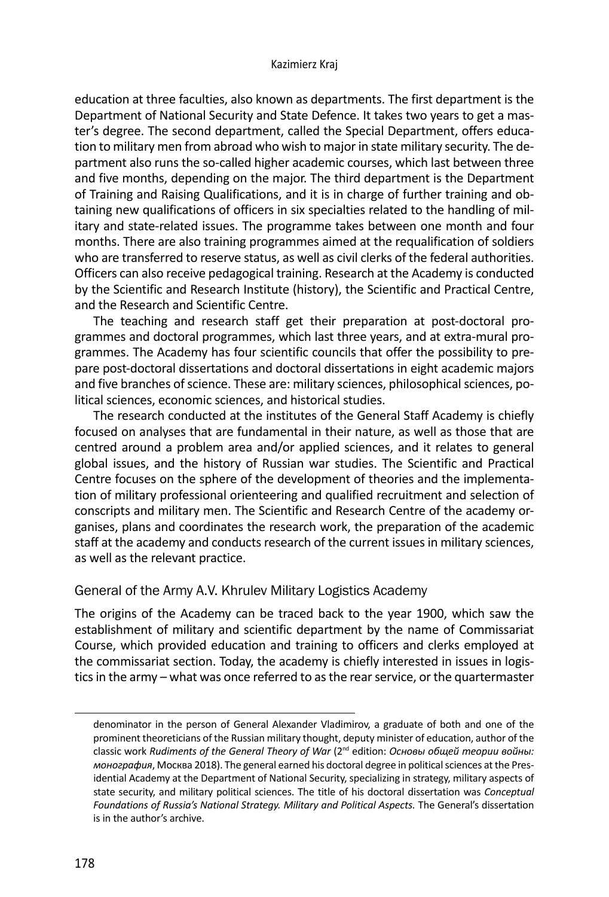education at three faculties, also known as departments. The first department is the Department of National Security and State Defence. It takes two years to get a master's degree. The second department, called the Special Department, offers education to military men from abroad who wish to major in state military security. The department also runs the so-called higher academic courses, which last between three and five months, depending on the major. The third department is the Department of Training and Raising Qualifications, and it is in charge of further training and obtaining new qualifications of officers in six specialties related to the handling of military and state-related issues. The programme takes between one month and four months. There are also training programmes aimed at the requalification of soldiers who are transferred to reserve status, as well as civil clerks of the federal authorities. Officers can also receive pedagogical training. Research at the Academy is conducted by the Scientific and Research Institute (history), the Scientific and Practical Centre, and the Research and Scientific Centre.

The teaching and research staff get their preparation at post-doctoral programmes and doctoral programmes, which last three years, and at extra-mural programmes. The Academy has four scientific councils that offer the possibility to prepare post-doctoral dissertations and doctoral dissertations in eight academic majors and five branches of science. These are: military sciences, philosophical sciences, political sciences, economic sciences, and historical studies.

The research conducted at the institutes of the General Staff Academy is chiefly focused on analyses that are fundamental in their nature, as well as those that are centred around a problem area and/or applied sciences, and it relates to general global issues, and the history of Russian war studies. The Scientific and Practical Centre focuses on the sphere of the development of theories and the implementation of military professional orienteering and qualified recruitment and selection of conscripts and military men. The Scientific and Research Centre of the academy organises, plans and coordinates the research work, the preparation of the academic staff at the academy and conducts research of the current issues in military sciences, as well as the relevant practice.

#### General of the Army A.V. Khrulev Military Logistics Academy

The origins of the Academy can be traced back to the year 1900, which saw the establishment of military and scientific department by the name of Commissariat Course, which provided education and training to officers and clerks employed at the commissariat section. Today, the academy is chiefly interested in issues in logistics in the army – what was once referred to as the rear service, or the quartermaster

denominator in the person of General Alexander Vladimirov, a graduate of both and one of the prominent theoreticians of the Russian military thought, deputy minister of education, author of the classic work *Rudiments of the General Theory of War* (2nd edition: *Основы общей теории войны: монография*, Москва 2018). The general earned his doctoral degree in political sciences at the Presidential Academy at the Department of National Security, specializing in strategy, military aspects of state security, and military political sciences. The title of his doctoral dissertation was *Conceptual Foundations of Russia's National Strategy. Military and Political Aspects.* The General's dissertation is in the author's archive.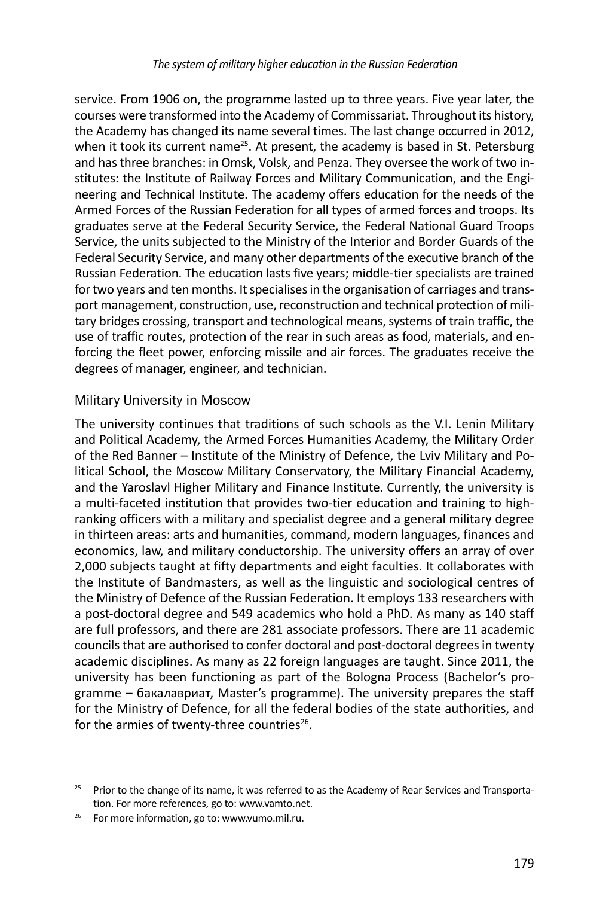service. From 1906 on, the programme lasted up to three years. Five year later, the courses were transformed into the Academy of Commissariat. Throughout its history, the Academy has changed its name several times. The last change occurred in 2012, when it took its current name<sup>25</sup>. At present, the academy is based in St. Petersburg and has three branches: in Omsk, Volsk, and Penza. They oversee the work of two institutes: the Institute of Railway Forces and Military Communication, and the Engineering and Technical Institute. The academy offers education for the needs of the Armed Forces of the Russian Federation for all types of armed forces and troops. Its graduates serve at the Federal Security Service, the Federal National Guard Troops Service, the units subjected to the Ministry of the Interior and Border Guards of the Federal Security Service, and many other departments of the executive branch of the Russian Federation. The education lasts five years; middle-tier specialists are trained for two years and ten months. It specialises in the organisation of carriages and transport management, construction, use, reconstruction and technical protection of military bridges crossing, transport and technological means, systems of train traffic, the use of traffic routes, protection of the rear in such areas as food, materials, and enforcing the fleet power, enforcing missile and air forces. The graduates receive the degrees of manager, engineer, and technician.

#### Military University in Moscow

The university continues that traditions of such schools as the V.I. Lenin Military and Political Academy, the Armed Forces Humanities Academy, the Military Order of the Red Banner – Institute of the Ministry of Defence, the Lviv Military and Political School, the Moscow Military Conservatory, the Military Financial Academy, and the Yaroslavl Higher Military and Finance Institute. Currently, the university is a multi-faceted institution that provides two-tier education and training to highranking officers with a military and specialist degree and a general military degree in thirteen areas: arts and humanities, command, modern languages, finances and economics, law, and military conductorship. The university offers an array of over 2,000 subjects taught at fifty departments and eight faculties. It collaborates with the Institute of Bandmasters, as well as the linguistic and sociological centres of the Ministry of Defence of the Russian Federation. It employs 133 researchers with a post-doctoral degree and 549 academics who hold a PhD. As many as 140 staff are full professors, and there are 281 associate professors. There are 11 academic councils that are authorised to confer doctoral and post-doctoral degrees in twenty academic disciplines. As many as 22 foreign languages are taught. Since 2011, the university has been functioning as part of the Bologna Process (Bachelor's programme – бакалавриат, Master's programme). The university prepares the staff for the Ministry of Defence, for all the federal bodies of the state authorities, and for the armies of twenty-three countries $26$ .

<sup>&</sup>lt;sup>25</sup> Prior to the change of its name, it was referred to as the Academy of Rear Services and Transportation. For more references, go to: www.vamto.net.<br><sup>26</sup> For more information, go to: www.vumo.mil.ru.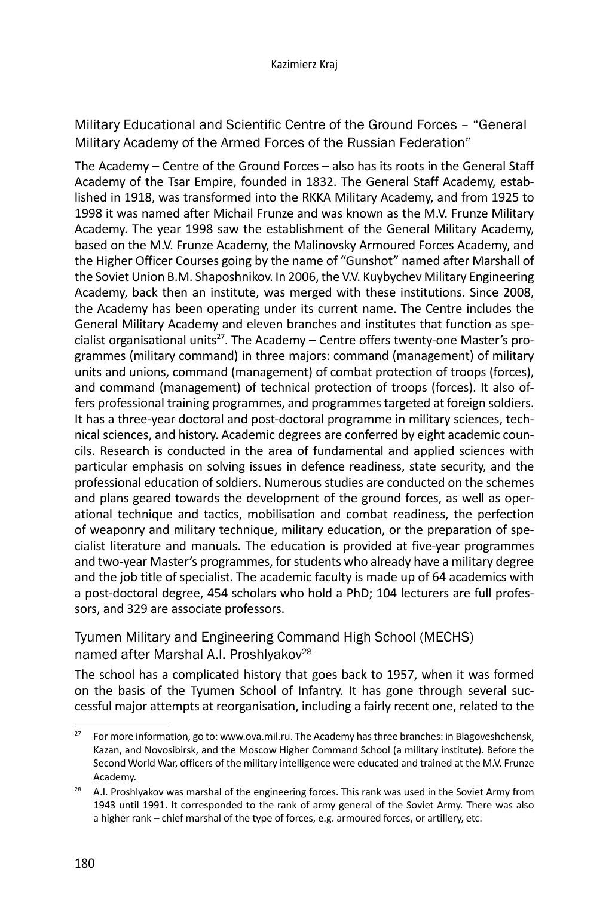Military Educational and Scientific Centre of the Ground Forces - "General Military Academy of the Armed Forces of the Russian Federation"

The Academy – Centre of the Ground Forces – also has its roots in the General Staff Academy of the Tsar Empire, founded in 1832. The General Staff Academy, established in 1918, was transformed into the RKKA Military Academy, and from 1925 to 1998 it was named after Michail Frunze and was known as the M.V. Frunze Military Academy. The year 1998 saw the establishment of the General Military Academy, based on the M.V. Frunze Academy, the Malinovsky Armoured Forces Academy, and the Higher Officer Courses going by the name of "Gunshot" named after Marshall of the Soviet Union B.M. Shaposhnikov. In 2006, the V.V. Kuybychev Military Engineering Academy, back then an institute, was merged with these institutions. Since 2008, the Academy has been operating under its current name. The Centre includes the General Military Academy and eleven branches and institutes that function as specialist organisational units<sup>27</sup>. The Academy  $-$  Centre offers twenty-one Master's programmes (military command) in three majors: command (management) of military units and unions, command (management) of combat protection of troops (forces), and command (management) of technical protection of troops (forces). It also offers professional training programmes, and programmes targeted at foreign soldiers. It has a three-year doctoral and post-doctoral programme in military sciences, technical sciences, and history. Academic degrees are conferred by eight academic councils. Research is conducted in the area of fundamental and applied sciences with particular emphasis on solving issues in defence readiness, state security, and the professional education of soldiers. Numerous studies are conducted on the schemes and plans geared towards the development of the ground forces, as well as operational technique and tactics, mobilisation and combat readiness, the perfection of weaponry and military technique, military education, or the preparation of specialist literature and manuals. The education is provided at five-year programmes and two-year Master's programmes, for students who already have a military degree and the job title of specialist. The academic faculty is made up of 64 academics with a post-doctoral degree, 454 scholars who hold a PhD; 104 lecturers are full professors, and 329 are associate professors.

Tyumen Military and Engineering Command High School (MECHS) named after Marshal A.I. Proshlyakov<sup>28</sup>

The school has a complicated history that goes back to 1957, when it was formed on the basis of the Tyumen School of Infantry. It has gone through several successful major attempts at reorganisation, including a fairly recent one, related to the

<sup>&</sup>lt;sup>27</sup> For more information, go to: www.ova.mil.ru. The Academy has three branches: in Blagoveshchensk, Kazan, and Novosibirsk, and the Moscow Higher Command School (a military institute). Before the Second World War, officers of the military intelligence were educated and trained at the M.V. Frunze

Academy.<br><sup>28</sup> A.I. Proshlyakov was marshal of the engineering forces. This rank was used in the Soviet Army from 1943 until 1991. It corresponded to the rank of army general of the Soviet Army. There was also a higher rank – chief marshal of the type of forces, e.g. armoured forces, or artillery, etc.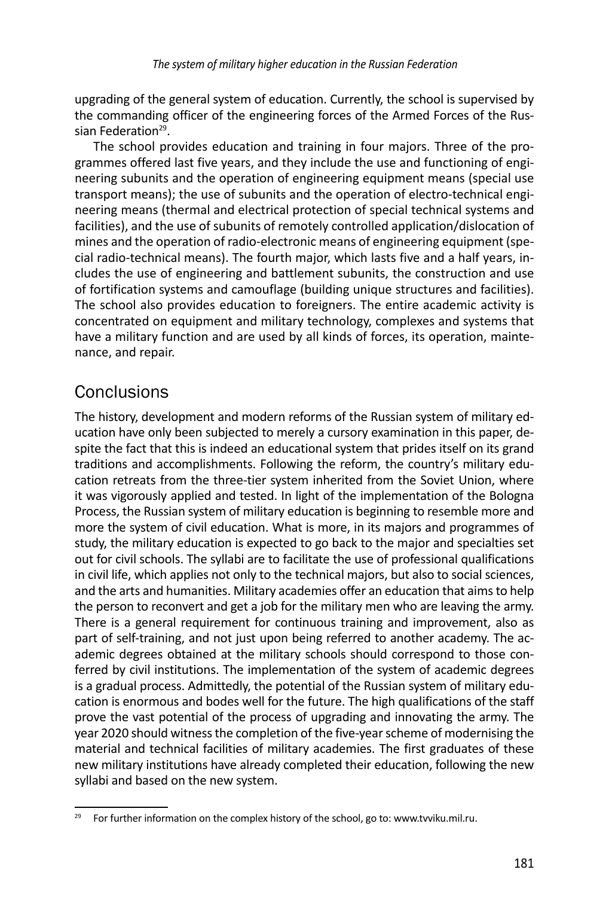upgrading of the general system of education. Currently, the school is supervised by the commanding officer of the engineering forces of the Armed Forces of the Russian Federation<sup>29</sup>.

The school provides education and training in four majors. Three of the programmes offered last five years, and they include the use and functioning of engineering subunits and the operation of engineering equipment means (special use transport means); the use of subunits and the operation of electro-technical engineering means (thermal and electrical protection of special technical systems and facilities), and the use of subunits of remotely controlled application/dislocation of mines and the operation of radio-electronic means of engineering equipment (special radio-technical means). The fourth major, which lasts five and a half years, includes the use of engineering and battlement subunits, the construction and use of fortification systems and camouflage (building unique structures and facilities). The school also provides education to foreigners. The entire academic activity is concentrated on equipment and military technology, complexes and systems that have a military function and are used by all kinds of forces, its operation, maintenance, and repair.

## **Conclusions**

The history, development and modern reforms of the Russian system of military education have only been subjected to merely a cursory examination in this paper, despite the fact that this is indeed an educational system that prides itself on its grand traditions and accomplishments. Following the reform, the country's military education retreats from the three-tier system inherited from the Soviet Union, where it was vigorously applied and tested. In light of the implementation of the Bologna Process, the Russian system of military education is beginning to resemble more and more the system of civil education. What is more, in its majors and programmes of study, the military education is expected to go back to the major and specialties set out for civil schools. The syllabi are to facilitate the use of professional qualifications in civil life, which applies not only to the technical majors, but also to social sciences, and the arts and humanities. Military academies offer an education that aims to help the person to reconvert and get a job for the military men who are leaving the army. There is a general requirement for continuous training and improvement, also as part of self-training, and not just upon being referred to another academy. The academic degrees obtained at the military schools should correspond to those conferred by civil institutions. The implementation of the system of academic degrees is a gradual process. Admittedly, the potential of the Russian system of military education is enormous and bodes well for the future. The high qualifications of the staff prove the vast potential of the process of upgrading and innovating the army. The year 2020 should witness the completion of the five-year scheme of modernising the material and technical facilities of military academies. The first graduates of these new military institutions have already completed their education, following the new syllabi and based on the new system.

<sup>&</sup>lt;sup>29</sup> For further information on the complex history of the school, go to: www.tvviku.mil.ru.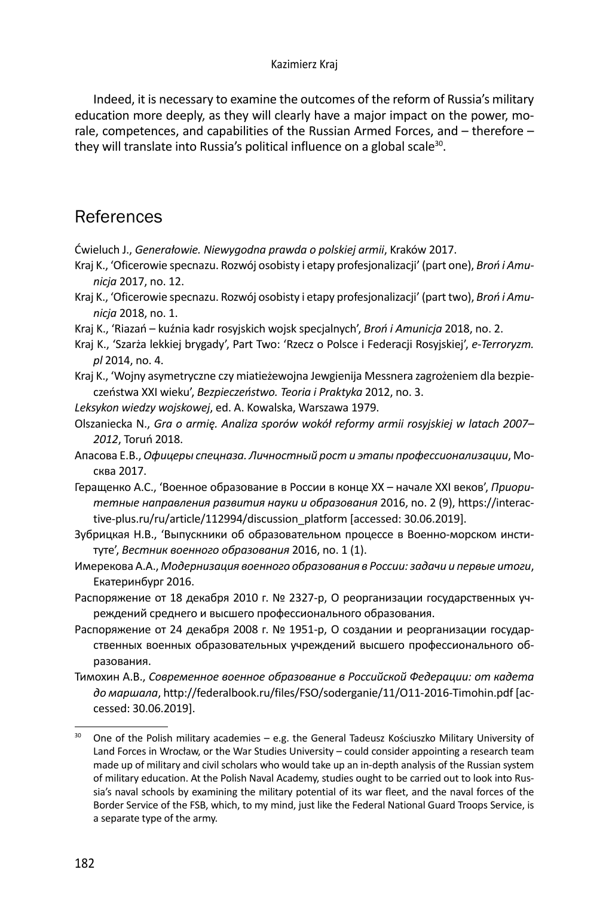#### Kazimierz Kraj

Indeed, it is necessary to examine the outcomes of the reform of Russia's military education more deeply, as they will clearly have a major impact on the power, morale, competences, and capabilities of the Russian Armed Forces, and – therefore – they will translate into Russia's political influence on a global scale<sup>30</sup>.

## References

Ćwieluch J., *Generałowie. Niewygodna prawda o polskiej armii*, Kraków 2017.

- Kraj K., 'Oficerowie specnazu. Rozwój osobisty i etapy profesjonalizacji' (part one), *Broń i Amunicja* 2017, no. 12.
- Kraj K., 'Oficerowie specnazu. Rozwój osobisty i etapy profesjonalizacji' (part two), *Broń i Amunicja* 2018, no. 1.
- Kraj K., 'Riazań kuźnia kadr rosyjskich wojsk specjalnych', *Broń i Amunicja* 2018, no. 2.
- Kraj K., 'Szarża lekkiej brygady', Part Two: 'Rzecz o Polsce i Federacji Rosyjskiej', *e-Terroryzm. pl* 2014, no. 4.
- Kraj K., 'Wojny asymetryczne czy miatieżewojna Jewgienija Messnera zagrożeniem dla bezpieczeństwa XXI wieku', *Bezpieczeństwo. Teoria i Praktyka* 2012, no. 3.
- *Leksykon wiedzy wojskowej*, ed. A. Kowalska, Warszawa 1979.
- Olszaniecka N., *Gra o armię. Analiza sporów wokół reformy armii rosyjskiej w latach 2007– 2012*, Toruń 2018.
- Апасовa Е.В., *Офицеры спецназа. Личностный рост и этапы профессионализации*, Москва 2017.
- Геращенко А.С., 'Военное образование в России в конце ХХ начале ХХI веков', *Приоритетные направления развития науки и образования* 2016, no. 2 (9), https://interactive-plus.ru/ru/article/112994/discussion\_platform [accessed: 30.06.2019].
- Зубрицкая Н.В., 'Выпускники об образовательном процессе в Военно-морском институте', *Вестник военного образования* 2016, no. 1 (1).
- Имерекова А.А., *Модернизация военного образования в России: задачи и первые итоги*, Екатеринбург 2016.
- Распоряжение от 18 декабря 2010 г. № 2327-р, О реорганизации государственных учреждений среднего и высшего профессионального образования.
- Распоряжение от 24 декабря 2008 г. № 1951-р, О создании и реорганизации государственных военных образовательных учреждений высшего профессионального образования.
- Тимохин А.В., *Современное военное образование в Российской Федерации: от кадета до маршала*, http://federalbook.ru/files/FSO/soderganie/11/O11-2016-Timohin.pdf [accessed: 30.06.2019].

<sup>&</sup>lt;sup>30</sup> One of the Polish military academies – e.g. the General Tadeusz Kościuszko Military University of Land Forces in Wrocław, or the War Studies University – could consider appointing a research team made up of military and civil scholars who would take up an in-depth analysis of the Russian system of military education. At the Polish Naval Academy, studies ought to be carried out to look into Russia's naval schools by examining the military potential of its war fleet, and the naval forces of the Border Service of the FSB, which, to my mind, just like the Federal National Guard Troops Service, is a separate type of the army.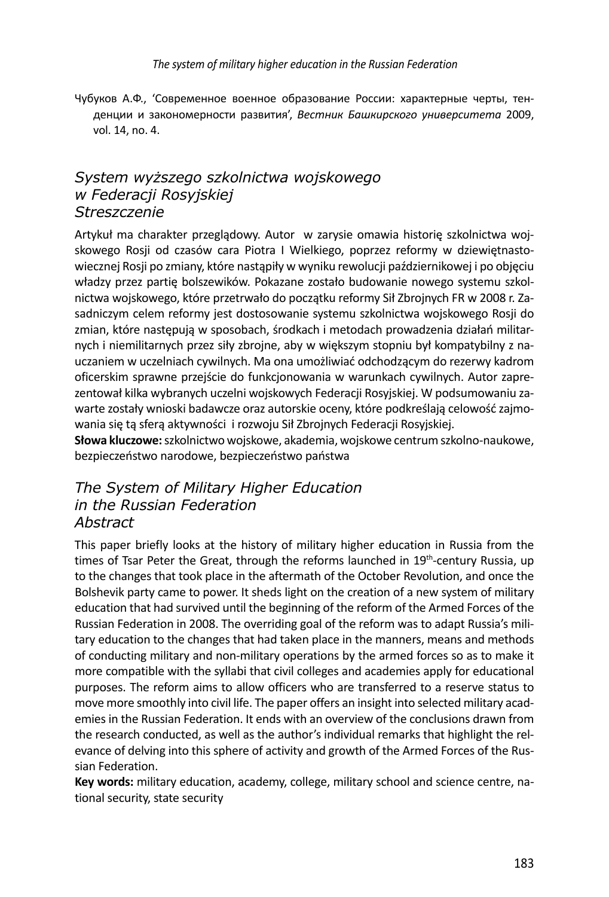Чубуков А.Ф., 'Современное военное образование России: характерные черты, тенденции и закономерности развития', *Вестник Башкирского университета* 2009, vol. 14, no. 4.

### *System wyższego szkolnictwa wojskowego w Federacji Rosyjskiej Streszczenie*

Artykuł ma charakter przeglądowy. Autor w zarysie omawia historię szkolnictwa wojskowego Rosji od czasów cara Piotra I Wielkiego, poprzez reformy w dziewiętnastowiecznej Rosji po zmiany, które nastąpiły w wyniku rewolucji październikowej i po objęciu władzy przez partię bolszewików. Pokazane zostało budowanie nowego systemu szkolnictwa wojskowego, które przetrwało do początku reformy Sił Zbrojnych FR w 2008 r. Zasadniczym celem reformy jest dostosowanie systemu szkolnictwa wojskowego Rosji do zmian, które następują w sposobach, środkach i metodach prowadzenia działań militarnych i niemilitarnych przez siły zbrojne, aby w większym stopniu był kompatybilny z nauczaniem w uczelniach cywilnych. Ma ona umożliwiać odchodzącym do rezerwy kadrom oficerskim sprawne przejście do funkcjonowania w warunkach cywilnych. Autor zaprezentował kilka wybranych uczelni wojskowych Federacji Rosyjskiej. W podsumowaniu zawarte zostały wnioski badawcze oraz autorskie oceny, które podkreślają celowość zajmowania się tą sferą aktywności i rozwoju Sił Zbrojnych Federacji Rosyjskiej.

**Słowa kluczowe:** szkolnictwo wojskowe, akademia, wojskowe centrum szkolno-naukowe, bezpieczeństwo narodowe, bezpieczeństwo państwa

#### *The System of Military Higher Education in the Russian Federation Abstract*

This paper briefly looks at the history of military higher education in Russia from the times of Tsar Peter the Great, through the reforms launched in  $19<sup>th</sup>$ -century Russia, up to the changes that took place in the aftermath of the October Revolution, and once the Bolshevik party came to power. It sheds light on the creation of a new system of military education that had survived until the beginning of the reform of the Armed Forces of the Russian Federation in 2008. The overriding goal of the reform was to adapt Russia's military education to the changes that had taken place in the manners, means and methods of conducting military and non-military operations by the armed forces so as to make it more compatible with the syllabi that civil colleges and academies apply for educational purposes. The reform aims to allow officers who are transferred to a reserve status to move more smoothly into civil life. The paper offers an insight into selected military academies in the Russian Federation. It ends with an overview of the conclusions drawn from the research conducted, as well as the author's individual remarks that highlight the relevance of delving into this sphere of activity and growth of the Armed Forces of the Russian Federation.

**Key words:** military education, academy, college, military school and science centre, national security, state security